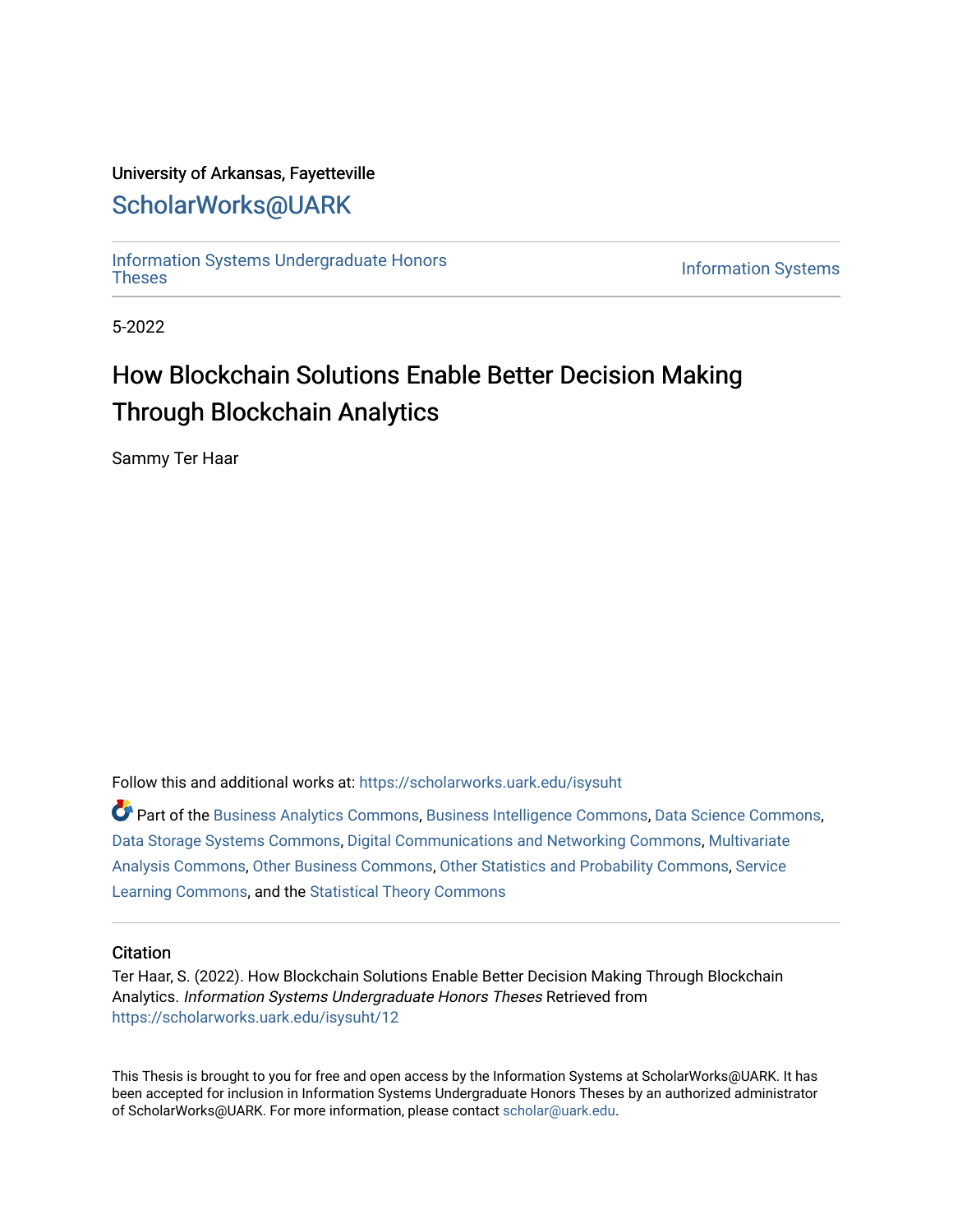## University of Arkansas, Fayetteville

# [ScholarWorks@UARK](https://scholarworks.uark.edu/)

[Information Systems Undergraduate Honors](https://scholarworks.uark.edu/isysuht)

**Information Systems** 

5-2022

# How Blockchain Solutions Enable Better Decision Making Through Blockchain Analytics

Sammy Ter Haar

Follow this and additional works at: [https://scholarworks.uark.edu/isysuht](https://scholarworks.uark.edu/isysuht?utm_source=scholarworks.uark.edu%2Fisysuht%2F12&utm_medium=PDF&utm_campaign=PDFCoverPages) 

Part of the [Business Analytics Commons](http://network.bepress.com/hgg/discipline/1398?utm_source=scholarworks.uark.edu%2Fisysuht%2F12&utm_medium=PDF&utm_campaign=PDFCoverPages), [Business Intelligence Commons](http://network.bepress.com/hgg/discipline/1326?utm_source=scholarworks.uark.edu%2Fisysuht%2F12&utm_medium=PDF&utm_campaign=PDFCoverPages), [Data Science Commons,](http://network.bepress.com/hgg/discipline/1429?utm_source=scholarworks.uark.edu%2Fisysuht%2F12&utm_medium=PDF&utm_campaign=PDFCoverPages) [Data Storage Systems Commons,](http://network.bepress.com/hgg/discipline/261?utm_source=scholarworks.uark.edu%2Fisysuht%2F12&utm_medium=PDF&utm_campaign=PDFCoverPages) [Digital Communications and Networking Commons,](http://network.bepress.com/hgg/discipline/262?utm_source=scholarworks.uark.edu%2Fisysuht%2F12&utm_medium=PDF&utm_campaign=PDFCoverPages) [Multivariate](http://network.bepress.com/hgg/discipline/824?utm_source=scholarworks.uark.edu%2Fisysuht%2F12&utm_medium=PDF&utm_campaign=PDFCoverPages)  [Analysis Commons,](http://network.bepress.com/hgg/discipline/824?utm_source=scholarworks.uark.edu%2Fisysuht%2F12&utm_medium=PDF&utm_campaign=PDFCoverPages) [Other Business Commons](http://network.bepress.com/hgg/discipline/647?utm_source=scholarworks.uark.edu%2Fisysuht%2F12&utm_medium=PDF&utm_campaign=PDFCoverPages), [Other Statistics and Probability Commons](http://network.bepress.com/hgg/discipline/215?utm_source=scholarworks.uark.edu%2Fisysuht%2F12&utm_medium=PDF&utm_campaign=PDFCoverPages), [Service](http://network.bepress.com/hgg/discipline/1024?utm_source=scholarworks.uark.edu%2Fisysuht%2F12&utm_medium=PDF&utm_campaign=PDFCoverPages) [Learning Commons](http://network.bepress.com/hgg/discipline/1024?utm_source=scholarworks.uark.edu%2Fisysuht%2F12&utm_medium=PDF&utm_campaign=PDFCoverPages), and the [Statistical Theory Commons](http://network.bepress.com/hgg/discipline/214?utm_source=scholarworks.uark.edu%2Fisysuht%2F12&utm_medium=PDF&utm_campaign=PDFCoverPages)

### **Citation**

Ter Haar, S. (2022). How Blockchain Solutions Enable Better Decision Making Through Blockchain Analytics. Information Systems Undergraduate Honors Theses Retrieved from [https://scholarworks.uark.edu/isysuht/12](https://scholarworks.uark.edu/isysuht/12?utm_source=scholarworks.uark.edu%2Fisysuht%2F12&utm_medium=PDF&utm_campaign=PDFCoverPages)

This Thesis is brought to you for free and open access by the Information Systems at ScholarWorks@UARK. It has been accepted for inclusion in Information Systems Undergraduate Honors Theses by an authorized administrator of ScholarWorks@UARK. For more information, please contact [scholar@uark.edu.](mailto:scholar@uark.edu)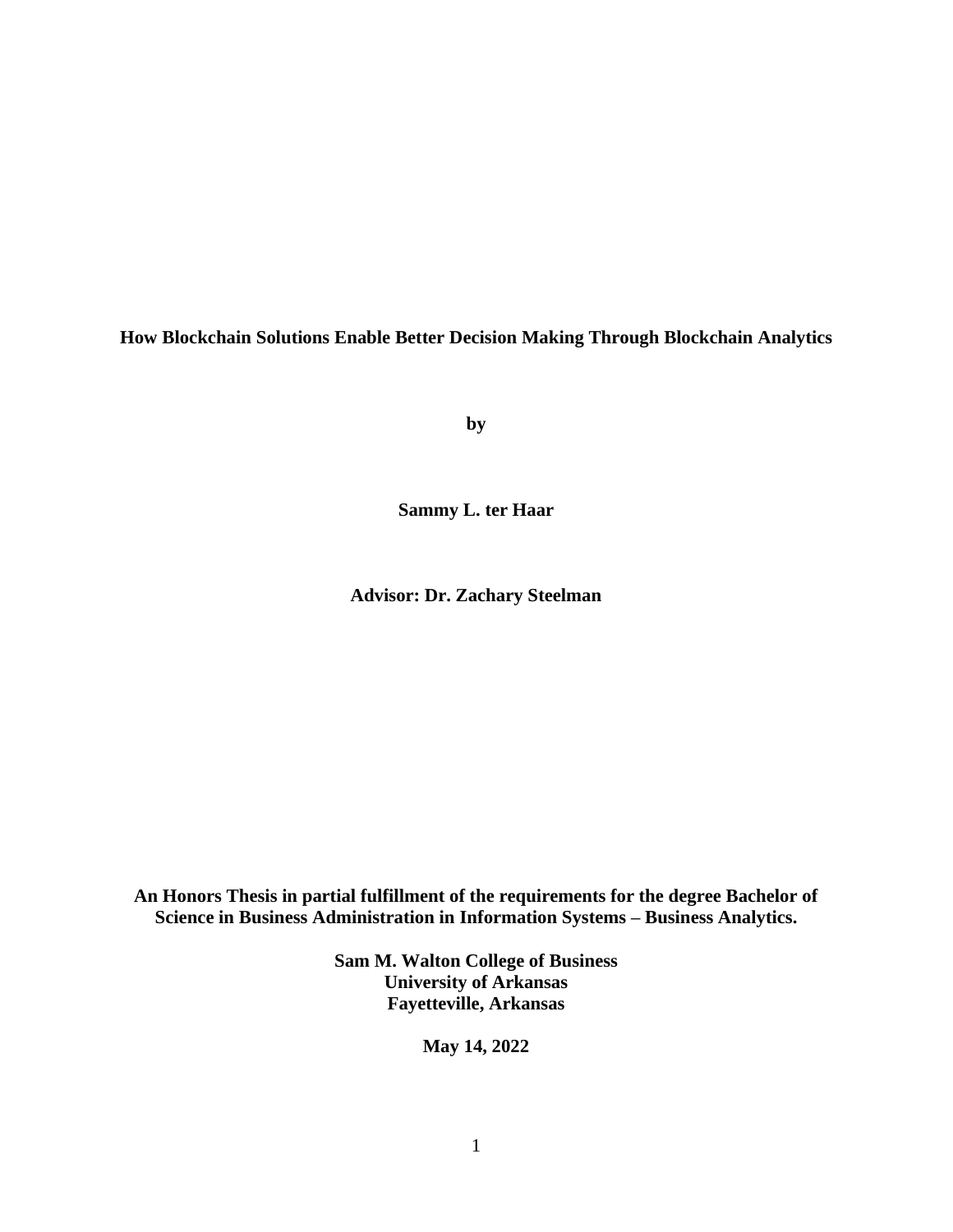**How Blockchain Solutions Enable Better Decision Making Through Blockchain Analytics**

**by**

**Sammy L. ter Haar**

**Advisor: Dr. Zachary Steelman**

**An Honors Thesis in partial fulfillment of the requirements for the degree Bachelor of Science in Business Administration in Information Systems – Business Analytics.**

> **Sam M. Walton College of Business University of Arkansas Fayetteville, Arkansas**

> > **May 14, 2022**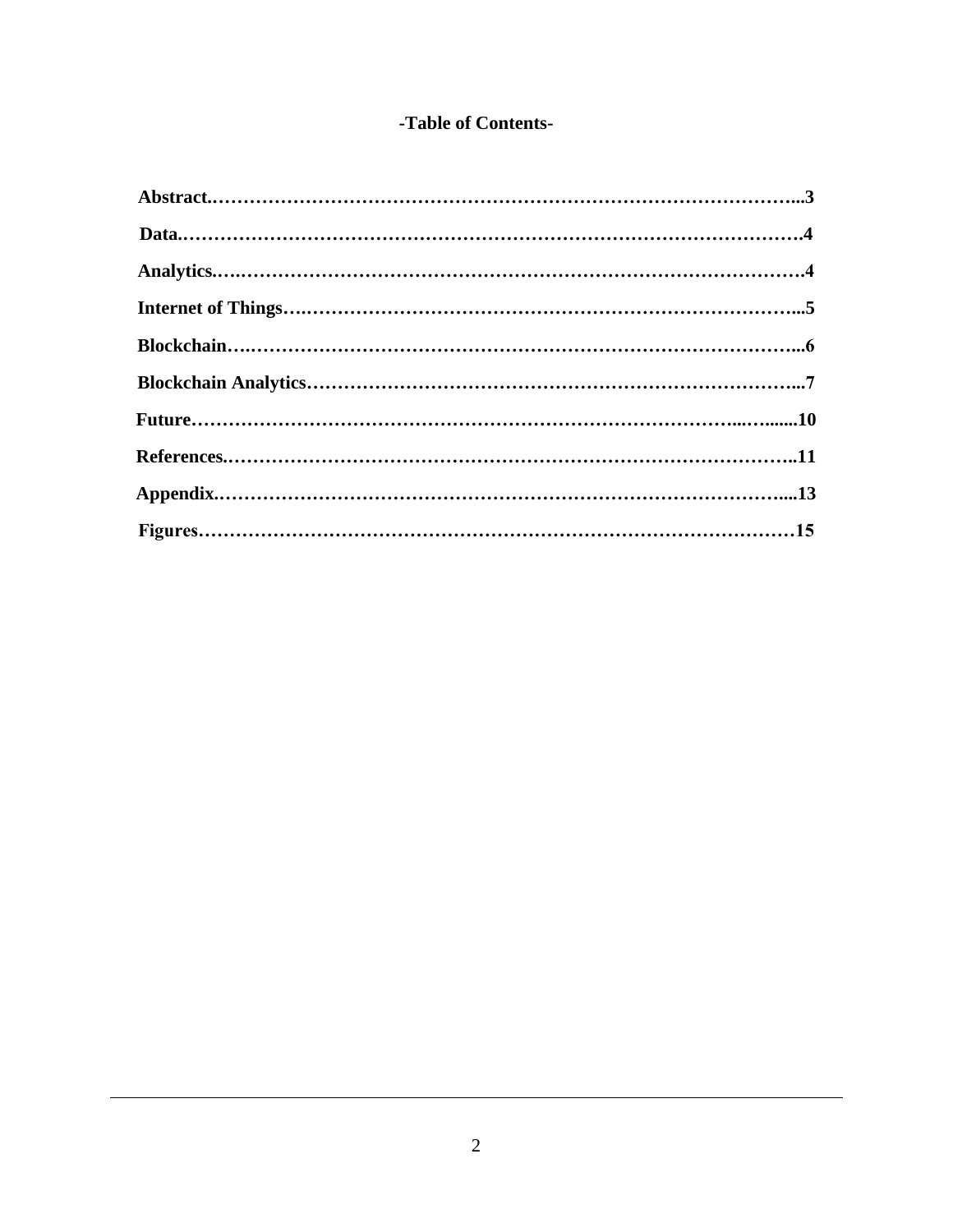# -Table of Contents-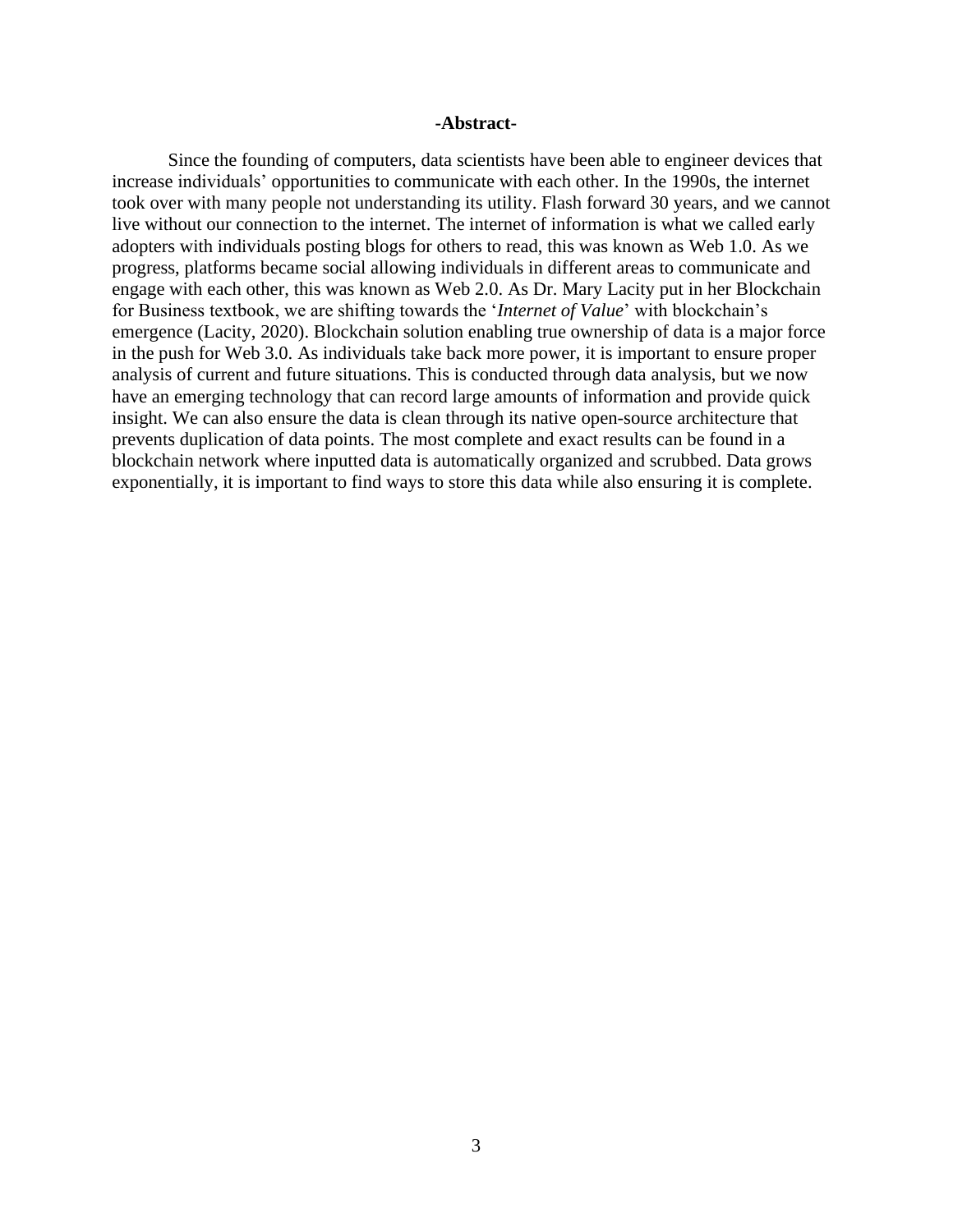### **-Abstract-**

Since the founding of computers, data scientists have been able to engineer devices that increase individuals' opportunities to communicate with each other. In the 1990s, the internet took over with many people not understanding its utility. Flash forward 30 years, and we cannot live without our connection to the internet. The internet of information is what we called early adopters with individuals posting blogs for others to read, this was known as Web 1.0. As we progress, platforms became social allowing individuals in different areas to communicate and engage with each other, this was known as Web 2.0. As Dr. Mary Lacity put in her Blockchain for Business textbook, we are shifting towards the '*Internet of Value*' with blockchain's emergence (Lacity, 2020). Blockchain solution enabling true ownership of data is a major force in the push for Web 3.0. As individuals take back more power, it is important to ensure proper analysis of current and future situations. This is conducted through data analysis, but we now have an emerging technology that can record large amounts of information and provide quick insight. We can also ensure the data is clean through its native open-source architecture that prevents duplication of data points. The most complete and exact results can be found in a blockchain network where inputted data is automatically organized and scrubbed. Data grows exponentially, it is important to find ways to store this data while also ensuring it is complete.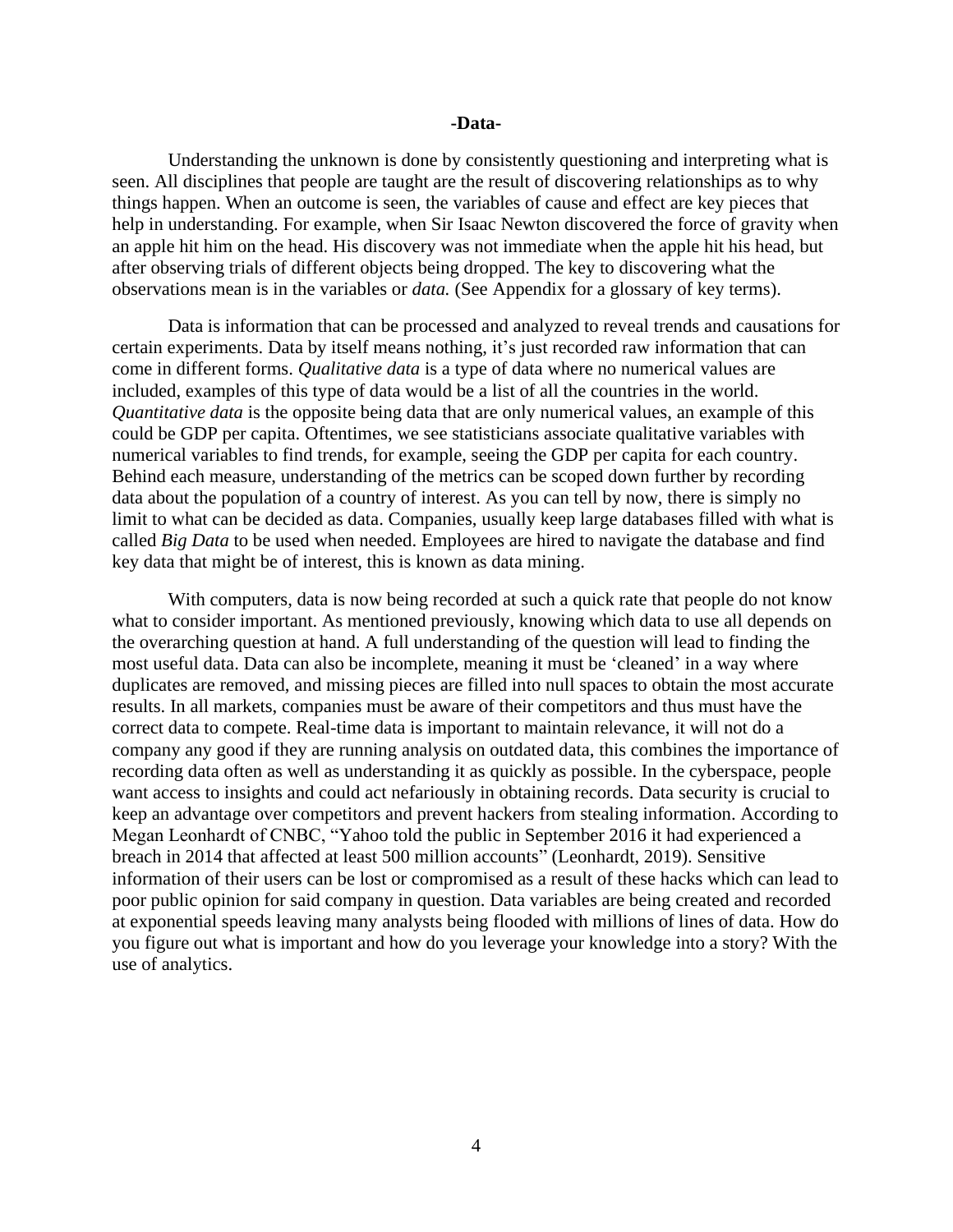#### **-Data-**

Understanding the unknown is done by consistently questioning and interpreting what is seen. All disciplines that people are taught are the result of discovering relationships as to why things happen. When an outcome is seen, the variables of cause and effect are key pieces that help in understanding. For example, when Sir Isaac Newton discovered the force of gravity when an apple hit him on the head. His discovery was not immediate when the apple hit his head, but after observing trials of different objects being dropped. The key to discovering what the observations mean is in the variables or *data.* (See Appendix for a glossary of key terms).

Data is information that can be processed and analyzed to reveal trends and causations for certain experiments. Data by itself means nothing, it's just recorded raw information that can come in different forms. *Qualitative data* is a type of data where no numerical values are included, examples of this type of data would be a list of all the countries in the world. *Quantitative data* is the opposite being data that are only numerical values, an example of this could be GDP per capita. Oftentimes, we see statisticians associate qualitative variables with numerical variables to find trends, for example, seeing the GDP per capita for each country. Behind each measure, understanding of the metrics can be scoped down further by recording data about the population of a country of interest. As you can tell by now, there is simply no limit to what can be decided as data. Companies, usually keep large databases filled with what is called *Big Data* to be used when needed. Employees are hired to navigate the database and find key data that might be of interest, this is known as data mining.

With computers, data is now being recorded at such a quick rate that people do not know what to consider important. As mentioned previously, knowing which data to use all depends on the overarching question at hand. A full understanding of the question will lead to finding the most useful data. Data can also be incomplete, meaning it must be 'cleaned' in a way where duplicates are removed, and missing pieces are filled into null spaces to obtain the most accurate results. In all markets, companies must be aware of their competitors and thus must have the correct data to compete. Real-time data is important to maintain relevance, it will not do a company any good if they are running analysis on outdated data, this combines the importance of recording data often as well as understanding it as quickly as possible. In the cyberspace, people want access to insights and could act nefariously in obtaining records. Data security is crucial to keep an advantage over competitors and prevent hackers from stealing information. According to Megan Leonhardt of CNBC, "Yahoo [told the public in September 2016](https://www.nytimes.com/2016/09/23/technology/yahoo-hackers.html) it had experienced a breach in 2014 that affected at least 500 million accounts" (Leonhardt, 2019). Sensitive information of their users can be lost or compromised as a result of these hacks which can lead to poor public opinion for said company in question. Data variables are being created and recorded at exponential speeds leaving many analysts being flooded with millions of lines of data. How do you figure out what is important and how do you leverage your knowledge into a story? With the use of analytics.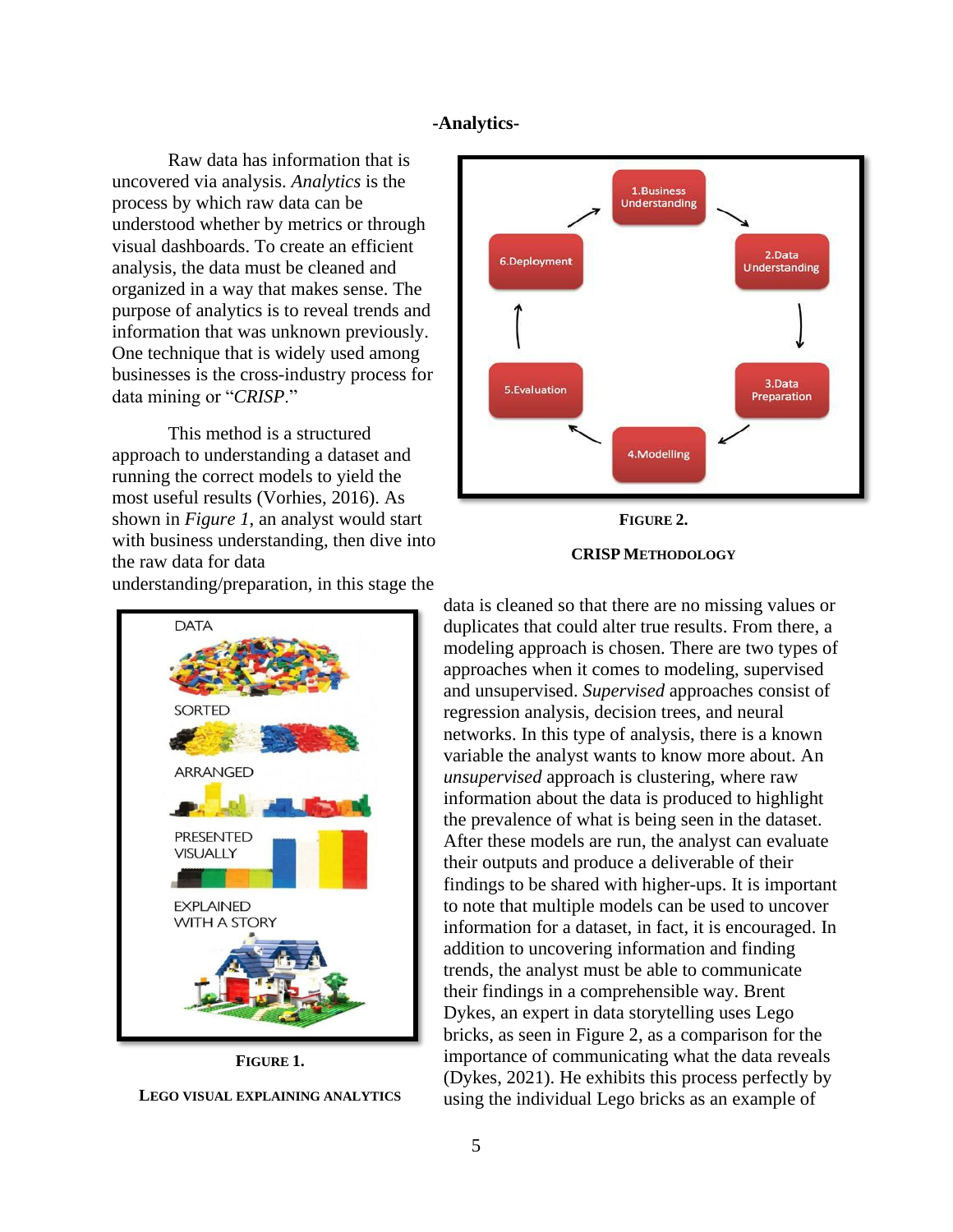### **-Analytics-**

Raw data has information that is uncovered via analysis. *Analytics* is the process by which raw data can be understood whether by metrics or through visual dashboards. To create an efficient analysis, the data must be cleaned and organized in a way that makes sense. The purpose of analytics is to reveal trends and information that was unknown previously. One technique that is widely used among businesses is the cross-industry process for data mining or "*CRISP*."

This method is a structured approach to understanding a dataset and running the correct models to yield the most useful results (Vorhies, 2016). As shown in *Figure 1*, an analyst would start with business understanding, then dive into the raw data for data

understanding/preparation, in this stage the

**DATA SORTED** ARRANGED **PRESENTED VISUALLY EXPLAINED WITH A STORY** 

**FIGURE 1. LEGO VISUAL EXPLAINING ANALYTICS**



# **FIGURE 2.**

## **CRISP METHODOLOGY**

data is cleaned so that there are no missing values or duplicates that could alter true results. From there, a modeling approach is chosen. There are two types of approaches when it comes to modeling, supervised and unsupervised. *Supervised* approaches consist of regression analysis, decision trees, and neural networks. In this type of analysis, there is a known variable the analyst wants to know more about. An *unsupervised* approach is clustering, where raw information about the data is produced to highlight the prevalence of what is being seen in the dataset. After these models are run, the analyst can evaluate their outputs and produce a deliverable of their findings to be shared with higher-ups. It is important to note that multiple models can be used to uncover information for a dataset, in fact, it is encouraged. In addition to uncovering information and finding trends, the analyst must be able to communicate their findings in a comprehensible way. Brent Dykes, an expert in data storytelling uses Lego bricks, as seen in Figure 2, as a comparison for the importance of communicating what the data reveals (Dykes, 2021). He exhibits this process perfectly by using the individual Lego bricks as an example of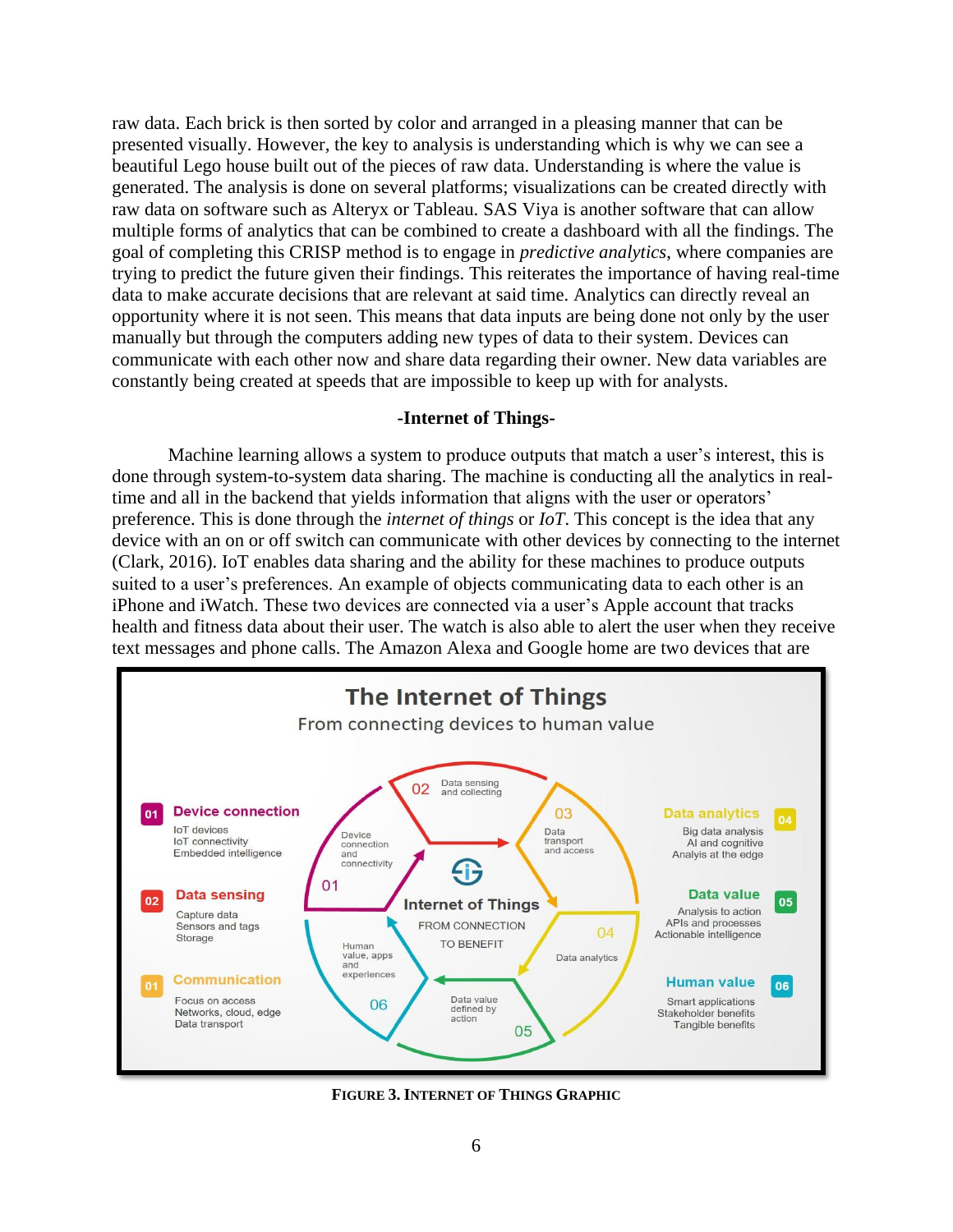raw data. Each brick is then sorted by color and arranged in a pleasing manner that can be presented visually. However, the key to analysis is understanding which is why we can see a beautiful Lego house built out of the pieces of raw data. Understanding is where the value is generated. The analysis is done on several platforms; visualizations can be created directly with raw data on software such as Alteryx or Tableau. SAS Viya is another software that can allow multiple forms of analytics that can be combined to create a dashboard with all the findings. The goal of completing this CRISP method is to engage in *predictive analytics*, where companies are trying to predict the future given their findings. This reiterates the importance of having real-time data to make accurate decisions that are relevant at said time. Analytics can directly reveal an opportunity where it is not seen. This means that data inputs are being done not only by the user manually but through the computers adding new types of data to their system. Devices can communicate with each other now and share data regarding their owner. New data variables are constantly being created at speeds that are impossible to keep up with for analysts.

### **-Internet of Things-**

Machine learning allows a system to produce outputs that match a user's interest, this is done through system-to-system data sharing. The machine is conducting all the analytics in realtime and all in the backend that yields information that aligns with the user or operators' preference. This is done through the *internet of things* or *IoT*. This concept is the idea that any device with an on or off switch can communicate with other devices by connecting to the internet (Clark, 2016). IoT enables data sharing and the ability for these machines to produce outputs suited to a user's preferences. An example of objects communicating data to each other is an iPhone and iWatch. These two devices are connected via a user's Apple account that tracks health and fitness data about their user. The watch is also able to alert the user when they receive text messages and phone calls. The Amazon Alexa and Google home are two devices that are



**FIGURE 3. INTERNET OF THINGS GRAPHIC**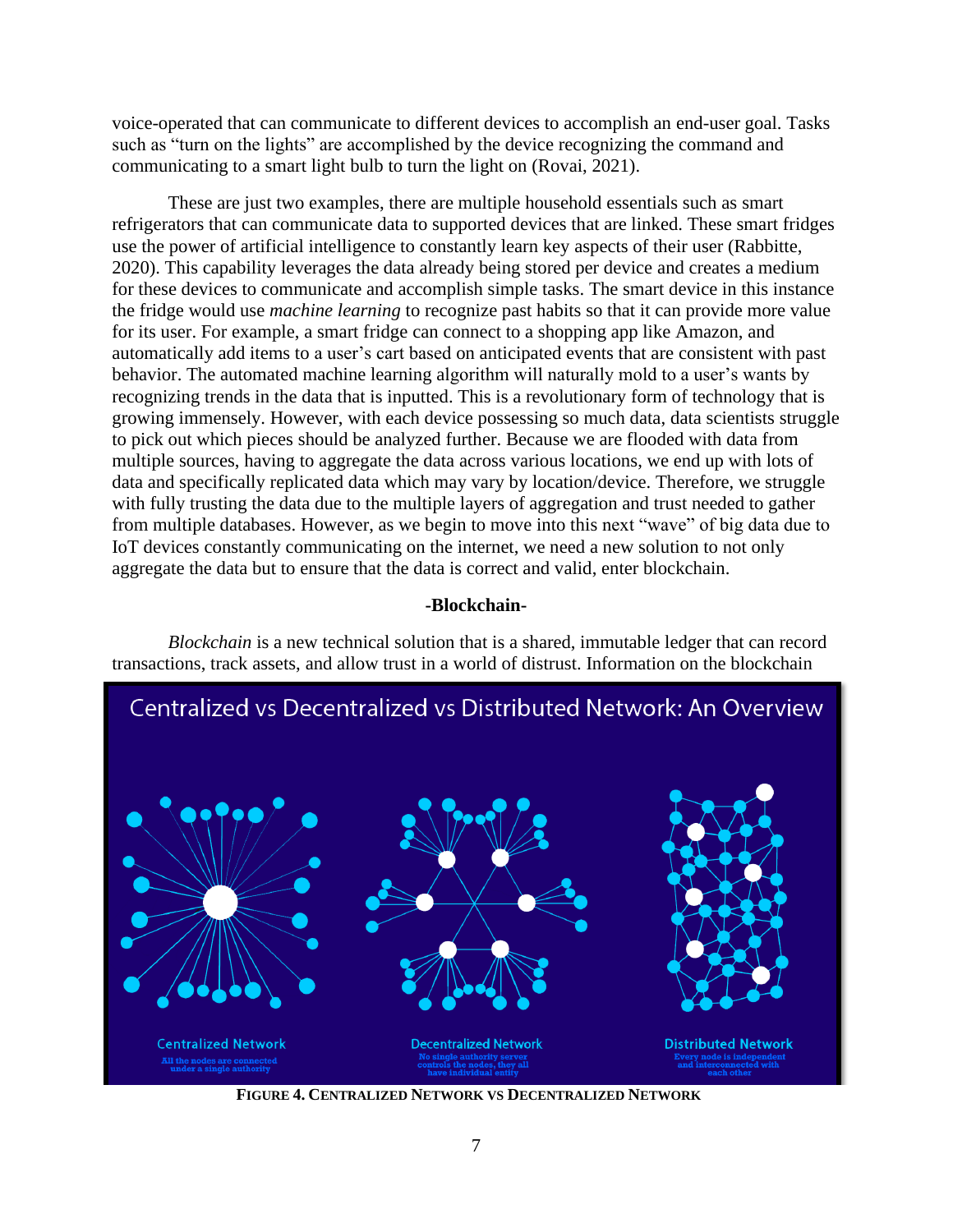voice-operated that can communicate to different devices to accomplish an end-user goal. Tasks such as "turn on the lights" are accomplished by the device recognizing the command and communicating to a smart light bulb to turn the light on (Rovai, 2021).

These are just two examples, there are multiple household essentials such as smart refrigerators that can communicate data to supported devices that are linked. These smart fridges use the power of artificial intelligence to constantly learn key aspects of their user (Rabbitte, 2020). This capability leverages the data already being stored per device and creates a medium for these devices to communicate and accomplish simple tasks. The smart device in this instance the fridge would use *machine learning* to recognize past habits so that it can provide more value for its user. For example, a smart fridge can connect to a shopping app like Amazon, and automatically add items to a user's cart based on anticipated events that are consistent with past behavior. The automated machine learning algorithm will naturally mold to a user's wants by recognizing trends in the data that is inputted. This is a revolutionary form of technology that is growing immensely. However, with each device possessing so much data, data scientists struggle to pick out which pieces should be analyzed further. Because we are flooded with data from multiple sources, having to aggregate the data across various locations, we end up with lots of data and specifically replicated data which may vary by location/device. Therefore, we struggle with fully trusting the data due to the multiple layers of aggregation and trust needed to gather from multiple databases. However, as we begin to move into this next "wave" of big data due to IoT devices constantly communicating on the internet, we need a new solution to not only aggregate the data but to ensure that the data is correct and valid, enter blockchain.

### **-Blockchain-**

*Blockchain* is a new technical solution that is a shared, immutable ledger that can record transactions, track assets, and allow trust in a world of distrust. Information on the blockchain



**FIGURE 4. CENTRALIZED NETWORK VS DECENTRALIZED NETWORK**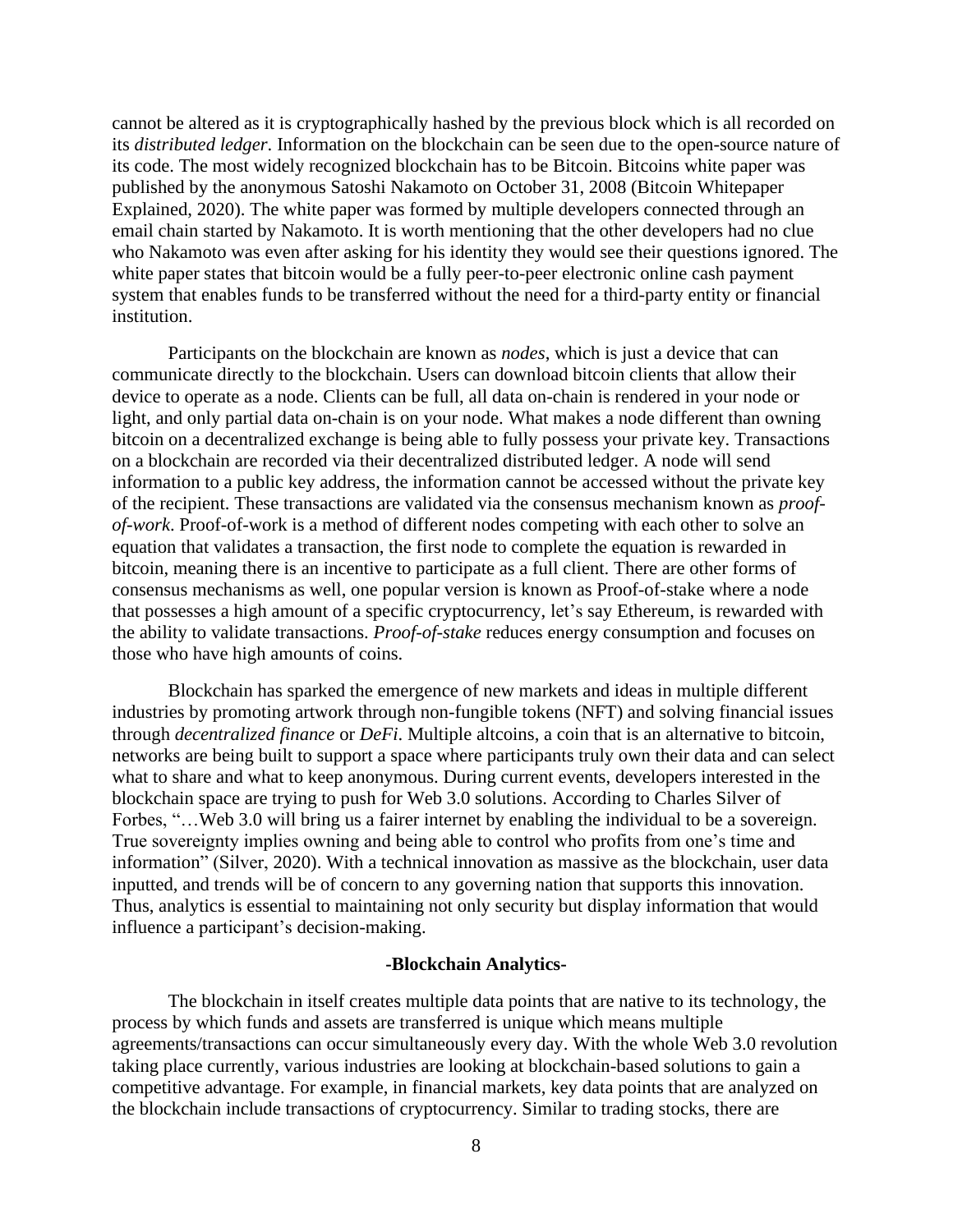cannot be altered as it is cryptographically hashed by the previous block which is all recorded on its *distributed ledger*. Information on the blockchain can be seen due to the open-source nature of its code. The most widely recognized blockchain has to be Bitcoin. Bitcoins white paper was published by the anonymous Satoshi Nakamoto on October 31, 2008 (Bitcoin Whitepaper Explained, 2020). The white paper was formed by multiple developers connected through an email chain started by Nakamoto. It is worth mentioning that the other developers had no clue who Nakamoto was even after asking for his identity they would see their questions ignored. The white paper states that bitcoin would be a fully peer-to-peer electronic online cash payment system that enables funds to be transferred without the need for a third-party entity or financial institution.

Participants on the blockchain are known as *nodes*, which is just a device that can communicate directly to the blockchain. Users can download bitcoin clients that allow their device to operate as a node. Clients can be full, all data on-chain is rendered in your node or light, and only partial data on-chain is on your node. What makes a node different than owning bitcoin on a decentralized exchange is being able to fully possess your private key. Transactions on a blockchain are recorded via their decentralized distributed ledger. A node will send information to a public key address, the information cannot be accessed without the private key of the recipient. These transactions are validated via the consensus mechanism known as *proofof-work*. Proof-of-work is a method of different nodes competing with each other to solve an equation that validates a transaction, the first node to complete the equation is rewarded in bitcoin, meaning there is an incentive to participate as a full client. There are other forms of consensus mechanisms as well, one popular version is known as Proof-of-stake where a node that possesses a high amount of a specific cryptocurrency, let's say Ethereum, is rewarded with the ability to validate transactions. *Proof-of-stake* reduces energy consumption and focuses on those who have high amounts of coins.

Blockchain has sparked the emergence of new markets and ideas in multiple different industries by promoting artwork through non-fungible tokens (NFT) and solving financial issues through *decentralized finance* or *DeFi*. Multiple altcoins, a coin that is an alternative to bitcoin, networks are being built to support a space where participants truly own their data and can select what to share and what to keep anonymous. During current events, developers interested in the blockchain space are trying to push for Web 3.0 solutions. According to Charles Silver of Forbes, "…Web 3.0 will bring us a fairer internet by enabling the individual to be a sovereign. True sovereignty implies owning and being able to control who profits from one's time and information" (Silver, 2020). With a technical innovation as massive as the blockchain, user data inputted, and trends will be of concern to any governing nation that supports this innovation. Thus, analytics is essential to maintaining not only security but display information that would influence a participant's decision-making.

#### **-Blockchain Analytics-**

The blockchain in itself creates multiple data points that are native to its technology, the process by which funds and assets are transferred is unique which means multiple agreements/transactions can occur simultaneously every day. With the whole Web 3.0 revolution taking place currently, various industries are looking at blockchain-based solutions to gain a competitive advantage. For example, in financial markets, key data points that are analyzed on the blockchain include transactions of cryptocurrency. Similar to trading stocks, there are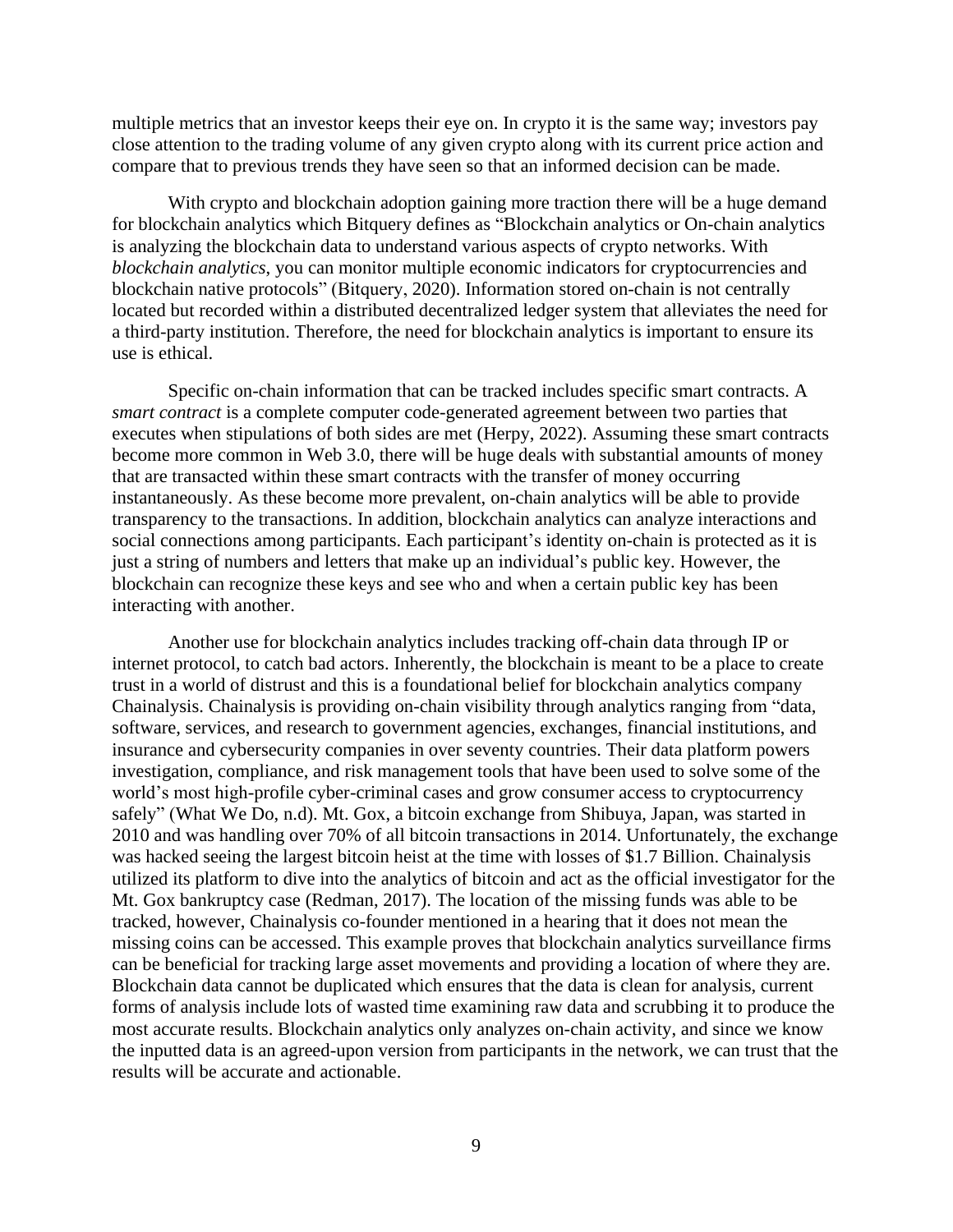multiple metrics that an investor keeps their eye on. In crypto it is the same way; investors pay close attention to the trading volume of any given crypto along with its current price action and compare that to previous trends they have seen so that an informed decision can be made.

With crypto and blockchain adoption gaining more traction there will be a huge demand for blockchain analytics which Bitquery defines as "Blockchain analytics or On-chain analytics is analyzing the blockchain data to understand various aspects of crypto networks. With *blockchain analytics*, you can monitor multiple economic indicators for cryptocurrencies and blockchain native protocols" (Bitquery, 2020). Information stored on-chain is not centrally located but recorded within a distributed decentralized ledger system that alleviates the need for a third-party institution. Therefore, the need for blockchain analytics is important to ensure its use is ethical.

Specific on-chain information that can be tracked includes specific smart contracts. A *smart contract* is a complete computer code-generated agreement between two parties that executes when stipulations of both sides are met (Herpy, 2022). Assuming these smart contracts become more common in Web 3.0, there will be huge deals with substantial amounts of money that are transacted within these smart contracts with the transfer of money occurring instantaneously. As these become more prevalent, on-chain analytics will be able to provide transparency to the transactions. In addition, blockchain analytics can analyze interactions and social connections among participants. Each participant's identity on-chain is protected as it is just a string of numbers and letters that make up an individual's public key. However, the blockchain can recognize these keys and see who and when a certain public key has been interacting with another.

Another use for blockchain analytics includes tracking off-chain data through IP or internet protocol, to catch bad actors. Inherently, the blockchain is meant to be a place to create trust in a world of distrust and this is a foundational belief for blockchain analytics company Chainalysis. Chainalysis is providing on-chain visibility through analytics ranging from "data, software, services, and research to government agencies, exchanges, financial institutions, and insurance and cybersecurity companies in over seventy countries. Their data platform powers investigation, compliance, and risk management tools that have been used to solve some of the world's most high-profile cyber-criminal cases and grow consumer access to cryptocurrency safely" (What We Do, n.d). Mt. Gox, a bitcoin exchange from Shibuya, Japan, was started in 2010 and was handling over 70% of all bitcoin transactions in 2014. Unfortunately, the exchange was hacked seeing the largest bitcoin heist at the time with losses of \$1.7 Billion. Chainalysis utilized its platform to dive into the analytics of bitcoin and act as the official investigator for the Mt. Gox bankruptcy case (Redman, 2017). The location of the missing funds was able to be tracked, however, Chainalysis co-founder mentioned in a hearing that it does not mean the missing coins can be accessed. This example proves that blockchain analytics surveillance firms can be beneficial for tracking large asset movements and providing a location of where they are. Blockchain data cannot be duplicated which ensures that the data is clean for analysis, current forms of analysis include lots of wasted time examining raw data and scrubbing it to produce the most accurate results. Blockchain analytics only analyzes on-chain activity, and since we know the inputted data is an agreed-upon version from participants in the network, we can trust that the results will be accurate and actionable.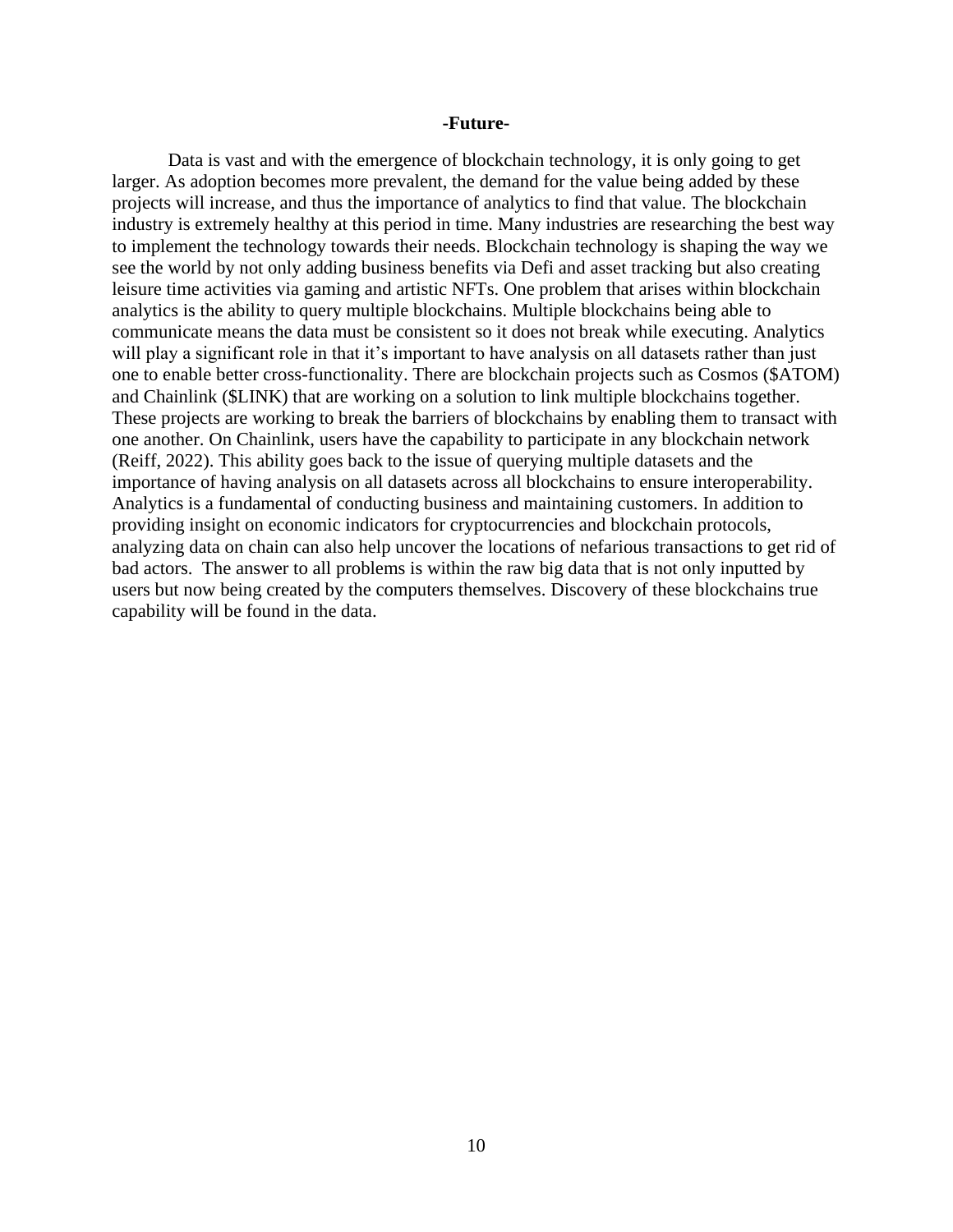### **-Future-**

Data is vast and with the emergence of blockchain technology, it is only going to get larger. As adoption becomes more prevalent, the demand for the value being added by these projects will increase, and thus the importance of analytics to find that value. The blockchain industry is extremely healthy at this period in time. Many industries are researching the best way to implement the technology towards their needs. Blockchain technology is shaping the way we see the world by not only adding business benefits via Defi and asset tracking but also creating leisure time activities via gaming and artistic NFTs. One problem that arises within blockchain analytics is the ability to query multiple blockchains. Multiple blockchains being able to communicate means the data must be consistent so it does not break while executing. Analytics will play a significant role in that it's important to have analysis on all datasets rather than just one to enable better cross-functionality. There are blockchain projects such as Cosmos (\$ATOM) and Chainlink (\$LINK) that are working on a solution to link multiple blockchains together. These projects are working to break the barriers of blockchains by enabling them to transact with one another. On Chainlink, users have the capability to participate in any blockchain network (Reiff, 2022). This ability goes back to the issue of querying multiple datasets and the importance of having analysis on all datasets across all blockchains to ensure interoperability. Analytics is a fundamental of conducting business and maintaining customers. In addition to providing insight on economic indicators for cryptocurrencies and blockchain protocols, analyzing data on chain can also help uncover the locations of nefarious transactions to get rid of bad actors. The answer to all problems is within the raw big data that is not only inputted by users but now being created by the computers themselves. Discovery of these blockchains true capability will be found in the data.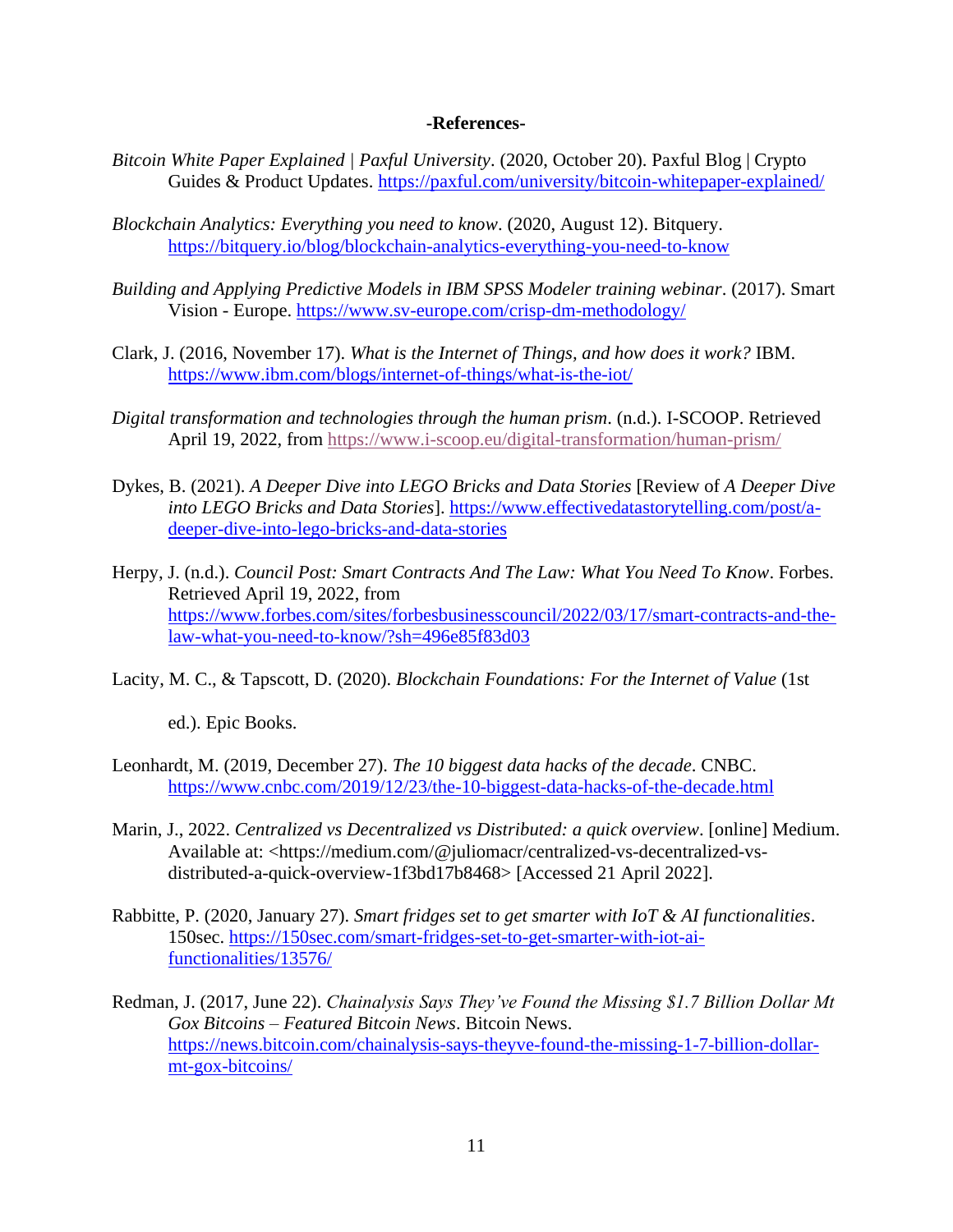### **-References-**

- *Bitcoin White Paper Explained | Paxful University*. (2020, October 20). Paxful Blog | Crypto Guides & Product Updates.<https://paxful.com/university/bitcoin-whitepaper-explained/>
- *Blockchain Analytics: Everything you need to know*. (2020, August 12). Bitquery. <https://bitquery.io/blog/blockchain-analytics-everything-you-need-to-know>
- *Building and Applying Predictive Models in IBM SPSS Modeler training webinar*. (2017). Smart Vision - Europe.<https://www.sv-europe.com/crisp-dm-methodology/>
- Clark, J. (2016, November 17). *What is the Internet of Things, and how does it work?* IBM. <https://www.ibm.com/blogs/internet-of-things/what-is-the-iot/>
- *Digital transformation and technologies through the human prism*. (n.d.). I-SCOOP. Retrieved April 19, 2022, from<https://www.i-scoop.eu/digital-transformation/human-prism/>
- Dykes, B. (2021). *A Deeper Dive into LEGO Bricks and Data Stories* [Review of *A Deeper Dive into LEGO Bricks and Data Stories*]. [https://www.effectivedatastorytelling.com/post/a](https://www.effectivedatastorytelling.com/post/a-deeper-dive-into-lego-bricks-and-data-stories)[deeper-dive-into-lego-bricks-and-data-stories](https://www.effectivedatastorytelling.com/post/a-deeper-dive-into-lego-bricks-and-data-stories)
- Herpy, J. (n.d.). *Council Post: Smart Contracts And The Law: What You Need To Know*. Forbes. Retrieved April 19, 2022, from [https://www.forbes.com/sites/forbesbusinesscouncil/2022/03/17/smart-contracts-and-the](https://www.forbes.com/sites/forbesbusinesscouncil/2022/03/17/smart-contracts-and-the-law-what-you-need-to-know/?sh=496e85f83d03)[law-what-you-need-to-know/?sh=496e85f83d03](https://www.forbes.com/sites/forbesbusinesscouncil/2022/03/17/smart-contracts-and-the-law-what-you-need-to-know/?sh=496e85f83d03)
- Lacity, M. C., & Tapscott, D. (2020). *Blockchain Foundations: For the Internet of Value* (1st

ed.). Epic Books.

- Leonhardt, M. (2019, December 27). *The 10 biggest data hacks of the decade*. CNBC. <https://www.cnbc.com/2019/12/23/the-10-biggest-data-hacks-of-the-decade.html>
- Marin, J., 2022. *Centralized vs Decentralized vs Distributed: a quick overview*. [online] Medium. Available at: <https://medium.com/@juliomacr/centralized-vs-decentralized-vsdistributed-a-quick-overview-1f3bd17b8468> [Accessed 21 April 2022].
- Rabbitte, P. (2020, January 27). *Smart fridges set to get smarter with IoT & AI functionalities*. 150sec. [https://150sec.com/smart-fridges-set-to-get-smarter-with-iot-ai](https://150sec.com/smart-fridges-set-to-get-smarter-with-iot-ai-functionalities/13576/)[functionalities/13576/](https://150sec.com/smart-fridges-set-to-get-smarter-with-iot-ai-functionalities/13576/)
- Redman, J. (2017, June 22). *Chainalysis Says They've Found the Missing \$1.7 Billion Dollar Mt Gox Bitcoins – Featured Bitcoin News*. Bitcoin News. [https://news.bitcoin.com/chainalysis-says-theyve-found-the-missing-1-7-billion-dollar](https://news.bitcoin.com/chainalysis-says-theyve-found-the-missing-1-7-billion-dollar-mt-gox-bitcoins/)[mt-gox-bitcoins/](https://news.bitcoin.com/chainalysis-says-theyve-found-the-missing-1-7-billion-dollar-mt-gox-bitcoins/)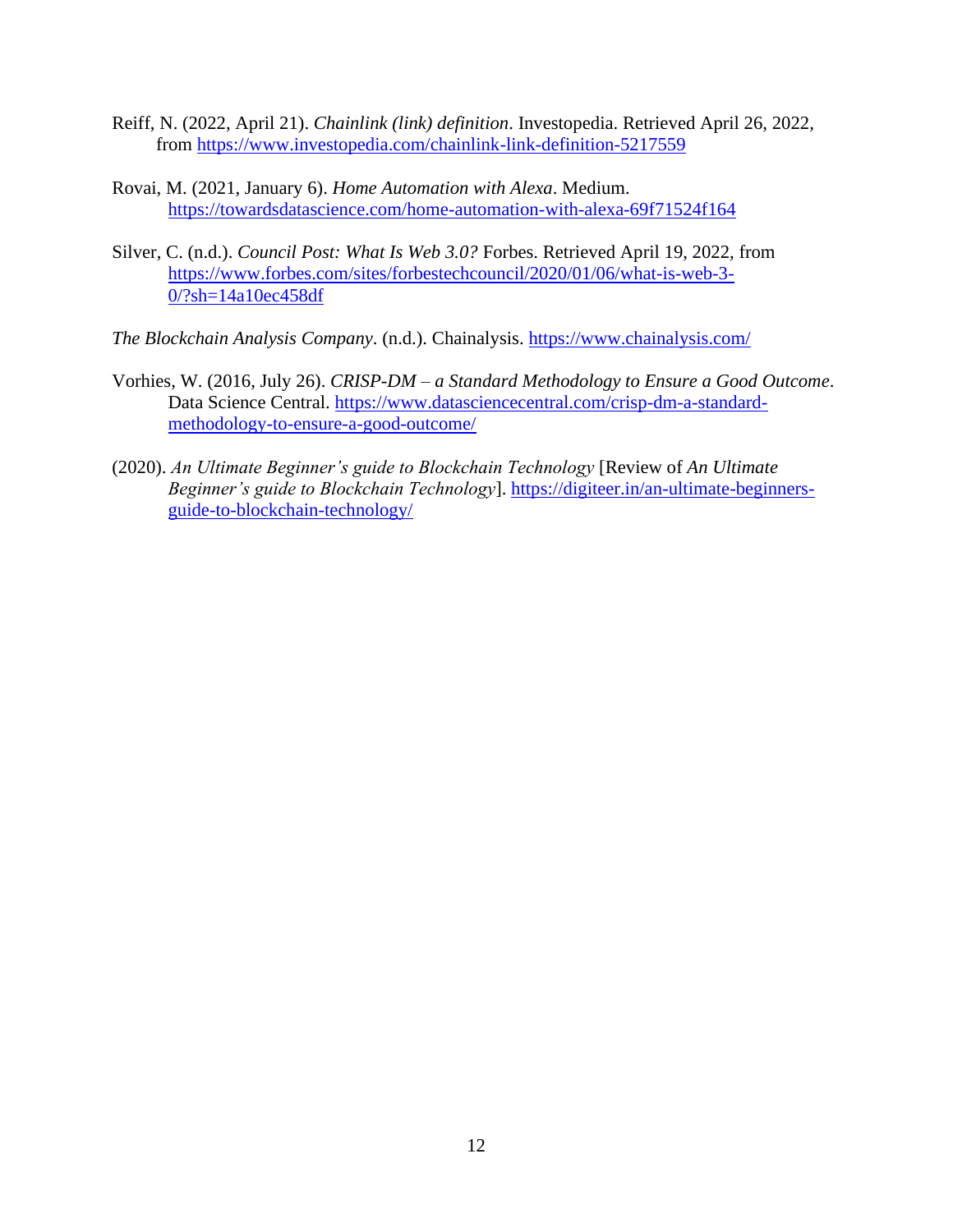- Reiff, N. (2022, April 21). *Chainlink (link) definition*. Investopedia. Retrieved April 26, 2022, from<https://www.investopedia.com/chainlink-link-definition-5217559>
- Rovai, M. (2021, January 6). *Home Automation with Alexa*. Medium. <https://towardsdatascience.com/home-automation-with-alexa-69f71524f164>
- Silver, C. (n.d.). *Council Post: What Is Web 3.0?* Forbes. Retrieved April 19, 2022, from [https://www.forbes.com/sites/forbestechcouncil/2020/01/06/what-is-web-3-](https://www.forbes.com/sites/forbestechcouncil/2020/01/06/what-is-web-3-0/?sh=14a10ec458df) [0/?sh=14a10ec458df](https://www.forbes.com/sites/forbestechcouncil/2020/01/06/what-is-web-3-0/?sh=14a10ec458df)
- *The Blockchain Analysis Company*. (n.d.). Chainalysis.<https://www.chainalysis.com/>
- Vorhies, W. (2016, July 26). *CRISP-DM – a Standard Methodology to Ensure a Good Outcome*. Data Science Central. [https://www.datasciencecentral.com/crisp-dm-a-standard](https://www.datasciencecentral.com/crisp-dm-a-standard-methodology-to-ensure-a-good-outcome/)[methodology-to-ensure-a-good-outcome/](https://www.datasciencecentral.com/crisp-dm-a-standard-methodology-to-ensure-a-good-outcome/)
- (2020). *An Ultimate Beginner's guide to Blockchain Technology* [Review of *An Ultimate Beginner's guide to Blockchain Technology*]. [https://digiteer.in/an-ultimate-beginners](https://digiteer.in/an-ultimate-beginners-guide-to-blockchain-technology/)[guide-to-blockchain-technology/](https://digiteer.in/an-ultimate-beginners-guide-to-blockchain-technology/)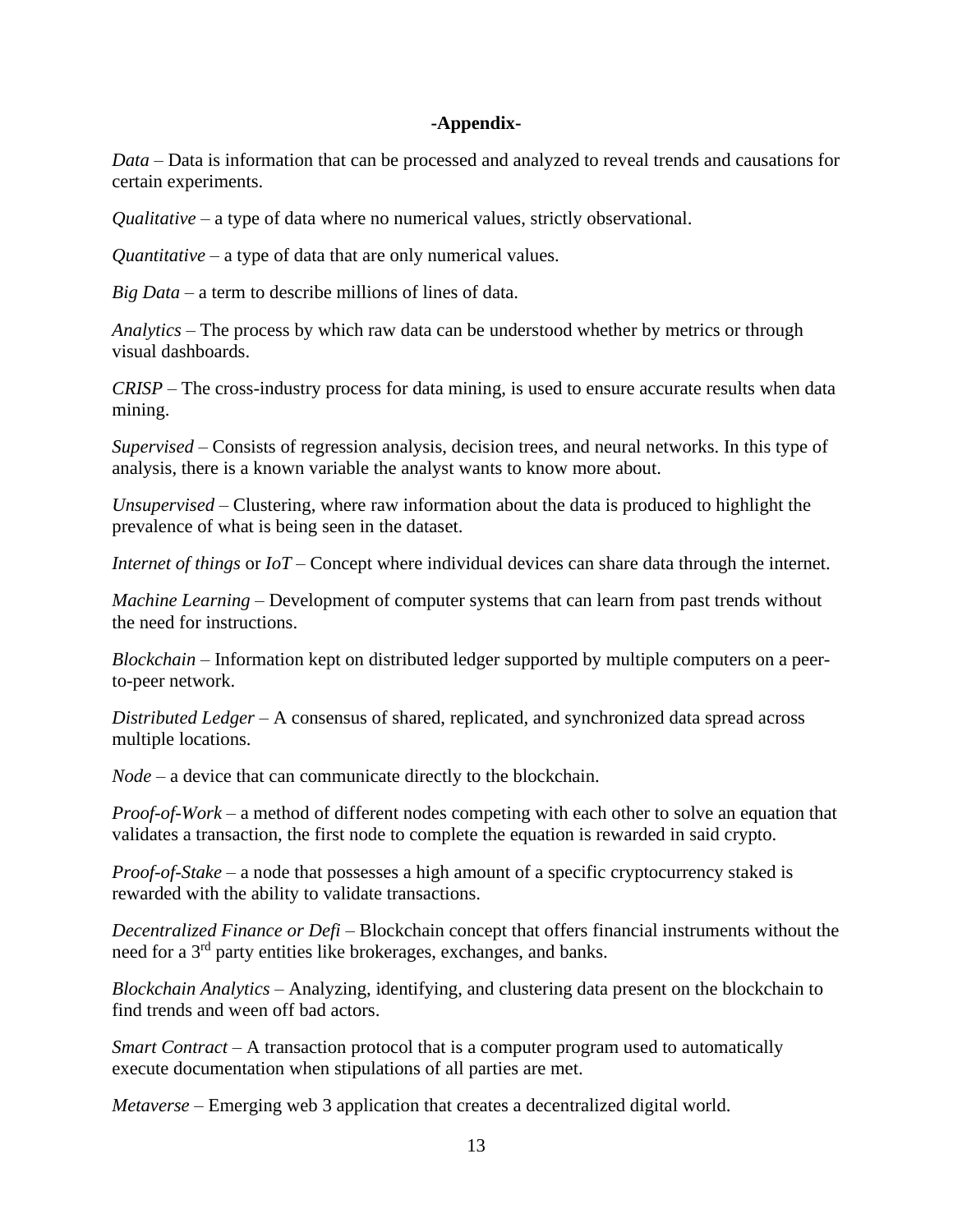### **-Appendix-**

*Data* – Data is information that can be processed and analyzed to reveal trends and causations for certain experiments.

*Qualitative* – a type of data where no numerical values, strictly observational.

*Quantitative* – a type of data that are only numerical values.

*Big Data* – a term to describe millions of lines of data.

*Analytics* – The process by which raw data can be understood whether by metrics or through visual dashboards.

*CRISP* – The cross-industry process for data mining, is used to ensure accurate results when data mining.

*Supervised* – Consists of regression analysis, decision trees, and neural networks. In this type of analysis, there is a known variable the analyst wants to know more about.

*Unsupervised* – Clustering, where raw information about the data is produced to highlight the prevalence of what is being seen in the dataset.

*Internet of things* or *IoT* – Concept where individual devices can share data through the internet.

*Machine Learning* – Development of computer systems that can learn from past trends without the need for instructions.

*Blockchain* – Information kept on distributed ledger supported by multiple computers on a peerto-peer network.

*Distributed Ledger* – A consensus of shared, replicated, and synchronized data spread across multiple locations.

*Node* – a device that can communicate directly to the blockchain.

*Proof-of-Work* – a method of different nodes competing with each other to solve an equation that validates a transaction, the first node to complete the equation is rewarded in said crypto.

*Proof-of-Stake* – a node that possesses a high amount of a specific cryptocurrency staked is rewarded with the ability to validate transactions.

*Decentralized Finance or Defi* – Blockchain concept that offers financial instruments without the need for a 3rd party entities like brokerages, exchanges, and banks.

*Blockchain Analytics* – Analyzing, identifying, and clustering data present on the blockchain to find trends and ween off bad actors.

*Smart Contract* – A transaction protocol that is a computer program used to automatically execute documentation when stipulations of all parties are met.

*Metaverse* – Emerging web 3 application that creates a decentralized digital world.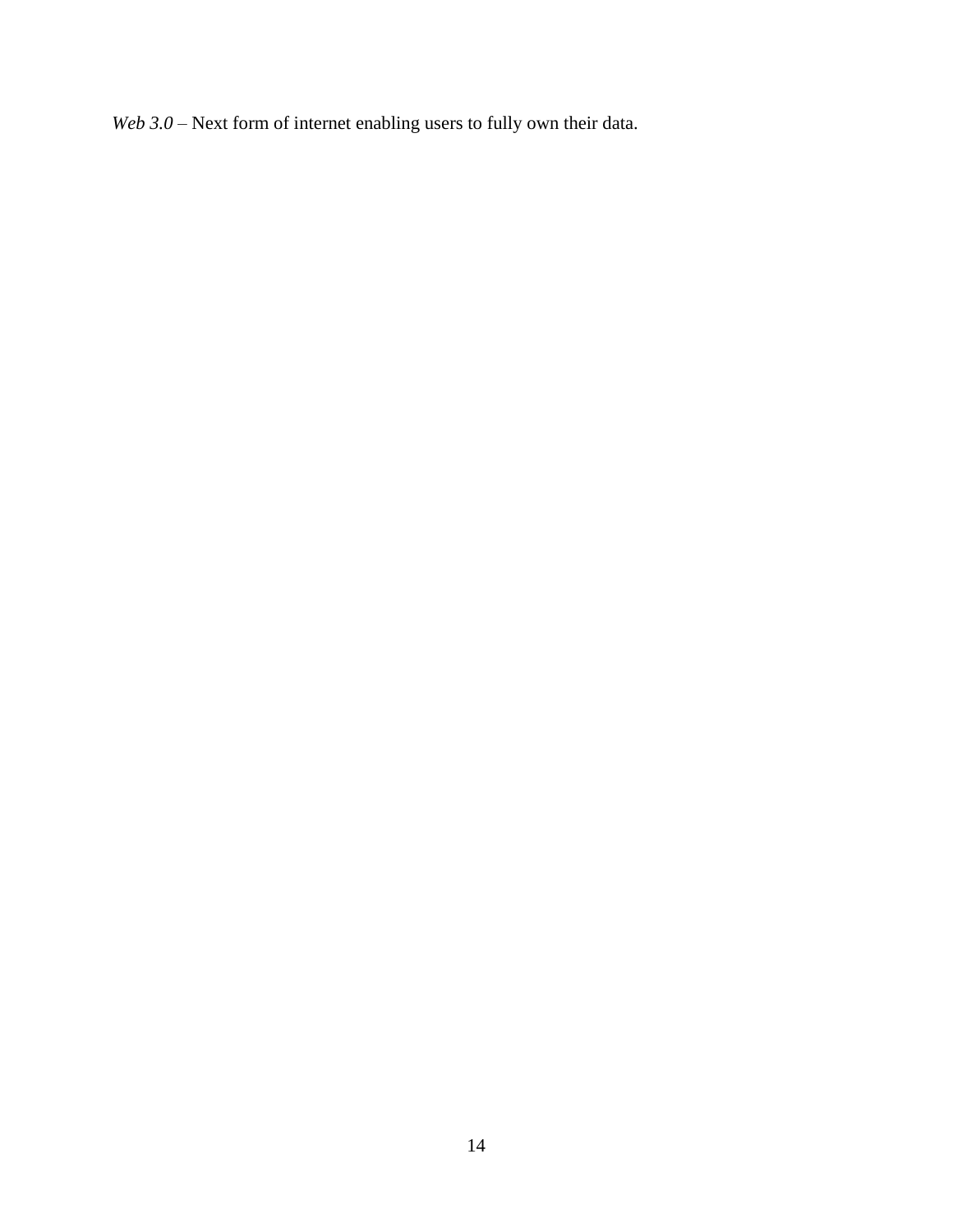*Web 3.0* – Next form of internet enabling users to fully own their data.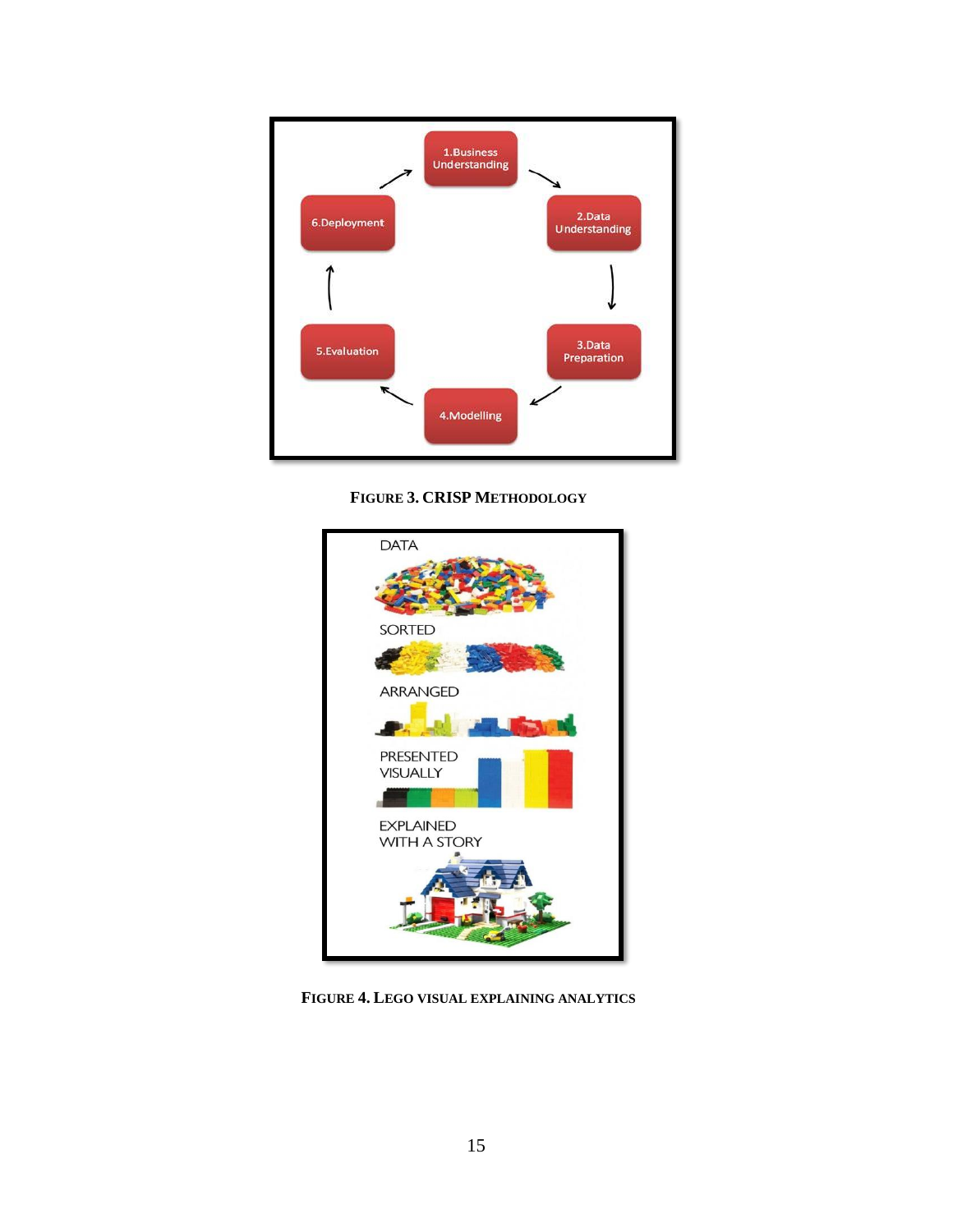

**FIGURE 3. CRISP METHODOLOGY**



**FIGURE 4. LEGO VISUAL EXPLAINING ANALYTICS**